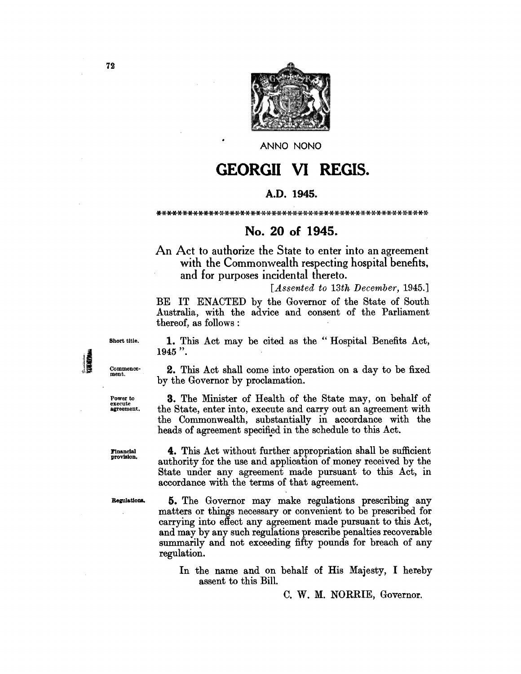

ANNO NONO

# **GEORGII VI REGIS.**

## A.D. 1945.

\*\*\*\*\*\*\*\*\*\*\*\*\*\*\*\*\*\*\*\*\*\*\*\*\*\*\*\*\*\*\*\*\*\*\*\*\*\*\*\*\*\*\*\*\*\*\*\*\*\*\*\*

# No. 20 of 1945.

An Act to authorize the State to enter into an agreement with the Commonwealth respecting hospital benefits, and for purposes incidental thereto.

*[Assented to 13th December, 1945.]* 

BE IT ENACTED by the Governor of the State of South Australia, with the advice and consent of the Parliament thereof, as follows :

Short title.

Commencement.

Power to<br>execute<br>agreement.

1. This Act may be cited as the "Hospital Benefits Act, 1945 ".

2. This Act shall come into operation on a day to be fixed by the Governor by proclamation.

3. The Minister of Health of the State may, on behalf of the State, enter into, execute and carry out an agreement with the Commonwealth, substantially in accordance with the heads of agreement specified in the schedule to this Act.

Financial<br>provision.

4. This Act without further appropriation shall be sufficient authority for the use and application of money received by the State under any agreement made pursuant to this Act, in accordance with the terms of that agreement.

Regulations.

5. The Governor may make regulations prescribing any matters or things necessary or convenient to be prescribed for carrying into effect any agreement made pursuant to this Act, and may by any such regulations prescribe penalties recoverable summarily and not exceeding fifty pounds for breach of any regulation.

In the name and on behalf of His Majesty, I hereby assent to this Bill.

C. W. M. NORRIE, Governor.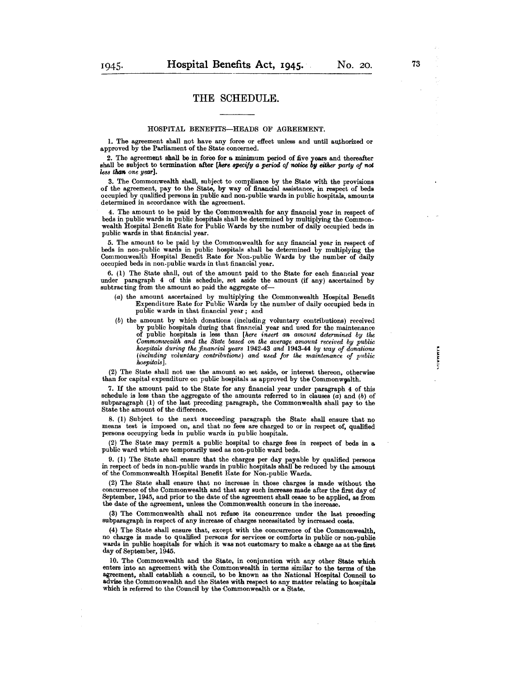### THE SCHEDULE.

#### HOSPITAL BENEFITS-HEADS OF AGREEMENT.

1. The agreement shall not have any force or effect unless and until authorized or approved by the Parliament of the State concerned.

2. The agrecment shall be in foroo for a. minimum period of five years and thereafter shall be subject to termination after *[here specify a period of notice by either party of not less than one year].* 

3. The Commonwealth shall, subject to compliance by the State with the provisions of the agreement, pay to the State, by way of financial assistance, in respect of beds occupied by qualified persons in public and non-pUblic wards in public hospitals, amounts determined in accordance with the agreement.

4. The amount to be paid by thc Commonwealth for any financial year in respect of beds in public wards in public hospitals shall he determined by multiplying the Commonwealth Hospital Benefit Rate for Public Wards by the number of daily occupied beds in public wards in that financial year.

5. The amount to be paid by the Commonwealth for any financial year in respect of beds in non-public wards in public hospitals shall be determined by multiplying the Commonwealth Hospital Benefit Rate for Non-public Wards by the number of daily occupied beds in non-public wards in that financial year.

6. (1) The State shall, out of the amount paid to the State for each financial year under paragraph 4 of this schedule, set aside the amount (if any) ascertained by subtracting from the amount so paid the aggregate of-

- (a) the amount ascertained by multiplying the Commonwealth Hospital Benefit Expenditure Rate for Puhlic Wards by the number of daily occupied beds in public wards in that financial year; and
- (b) the amount by which donations (including voluntary contributions) received by public hospitals during that financial year and used for the maintenance of public hospitals is less than *[here insert an am01mt determined by the Commonwealth and the State ba8ed on the average amount received by public hospital8 during the financial year8* 1942-43 *and* 1943-44 *by way of donation8 (including voluntary contributions) and used jor the maintenance of public hospitals].*

(2) The State shall not use the amount so set aside, or interest thereon, otherwise than for capital expenditure on public hospitals as approved by the Commonwealth.

7. If the amount paid to the State for any financial year under paragraph 4 of this schedule is less than the aggregate of the amounts referred to in clauses  $(a)$  and  $(b)$  of subparagraph (1) of the last preceding paragraph, the Commonwealth shall pay to the State the amount of the difference.

8. (1) Subject to the next succeeding paragraph the State shall ensure that no means test is imposed on, and that no fees are charged to or in respect of, qualified persons occupying beds in public wards in public hospitals.

(2) The State may permit a public hospital to charge fees in respect of beds in a public ward which are temporarily used as non-pUblic ward beds.

9. (1) The State shall ensure that the charges per day payable by qualified persons in respect of beds in non-public wards in public hospitals shall be reduced by the amount of the Commonwealth Hospital Benefit Rate for Non-public Wards.

(2) The State shall ensure that no increase in those charges is made without the concurrence of the Commonwealth and that any such increase made after the first day of September, 1945, and prior to the date of the agreement shall cease to be applied, as from the date of the agreement, unless the Commonwealth concurs in the increase.

(3) The Commonwealth shall not refuse its concurrence under the last preceding subparagraph in respect of any increase of charges necessitated by increased costs.

(4) The State shall ensure that, except with the concurrence of the Commonwealth, no charge is made to qualified persons for services or comforts in public or non-public wards in public hospitals for which it was not customary to make a charge as at the first day of September, 1945.

lO. The Commonwealth and the State, in conjunction with any other State which enters into an agreement with the Commonwealth in terms similar to the terms of the agreement, shall establish a council, to be known as the National Hospital Council to advise the Commonwealth and the States with respect to any matter relating to hospitals which is referred to the Council by the Commonwealth or a State.